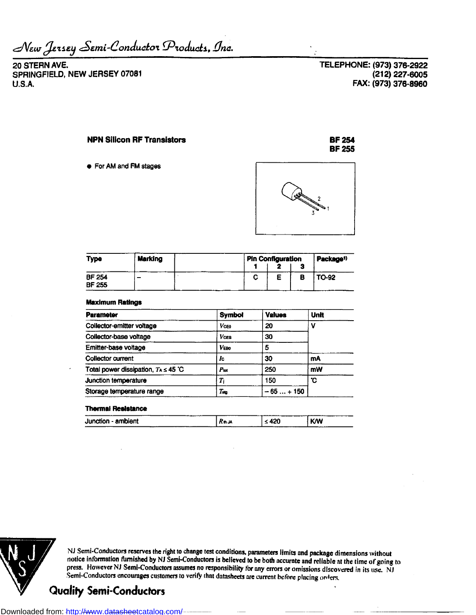$\mathcal{N}$ *Ew J*ensey Semi-Conductor Products, Inc.

**20 STERN AVE.** SPRINGFIELD, NEW JERSEY 07081 U.S.A.

**TELEPHONE: (973) 376-2922 (212)227-6005 FAX: (973) 376-8960**

**BF254 BF255**

## **NPN Silicon RF Transistors**

**•** For AM and FM stages



| Type                           | <b>Marking</b> | Pin Configuration |   | Package <sup>1</sup> |
|--------------------------------|----------------|-------------------|---|----------------------|
| <b>BF 254</b><br><b>BF 255</b> |                |                   | ۰ | TO-92                |

#### **Maximum Ratings**

| <b>Parameter</b>                          | <b>Symbol</b>      | <b>Values</b> | <b>Unit</b> |  |
|-------------------------------------------|--------------------|---------------|-------------|--|
| Collector-emitter voltage                 | Vceo               | 20            | v           |  |
| Collector-base voltage                    | 30<br><b>V</b> ces |               |             |  |
| Emitter-base voltage                      | <b>VEBO</b>        | 5             |             |  |
| <b>Collector current</b>                  | Ic                 | 30            | mA          |  |
| Total power dissipation, $T_A \leq 45$ °C | Put                | 250           | mW          |  |
| Junction temperature                      | $\scriptstyle T_1$ | 150           | ъ.          |  |
| Storage temperature range                 | Tш                 | $-65+150$     |             |  |

### **Thermal Resistance**

| --<br>.               |      | --------  | .          |
|-----------------------|------|-----------|------------|
| - ambient<br>Junction | Rnja | ハウイ<br>-- | <b>K/W</b> |
| .<br>- - - -<br>---   |      |           | -------    |



NJ Semi-Conductors reserves the right to change test conditions, parameters limits and package dimensions without notice information furnished by NJ Semi-Conductors is believed to be both accurate and reliable at the time of going to press. However NJ Semi-Conductors assumes no responsibility for any errors or omissions discovered in its use. NJ Semi-Conductors encourages customers to verify that datasheets are current before placing orders.

# **Quality Semi-Conductors**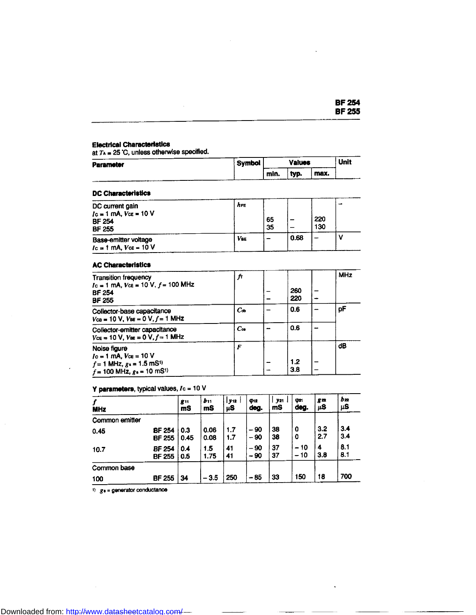|  | BF 254        |
|--|---------------|
|  | <b>BF 255</b> |

 $\ddot{\phantom{a}}$ 

## **Electrical Characteristics**

racti isai oniarasionistics<br>· 7. – 25 °C, unless otherwise specified.

| <b>Parameter</b> | <b>Symbol</b> |      | <b>Values</b> |      | Unit |
|------------------|---------------|------|---------------|------|------|
|                  |               | min. | typ.          | max. |      |

## **DC Characteristics**

| 53 SIMING WITCH - 1                                                            |            |          |      |            |    |  |  |  |
|--------------------------------------------------------------------------------|------------|----------|------|------------|----|--|--|--|
| DC current gain<br>$Ic = 1$ mA, $Vce = 10$ V<br><b>BF 254</b><br><b>BF 255</b> | <b>AFE</b> | 65<br>35 |      | 220<br>130 | -- |  |  |  |
| Base-emitter voltage<br>$I_c = 1$ mA, $V_{ce} = 10$ V                          | <b>VBE</b> |          | 0.68 |            |    |  |  |  |

| <b>AC Characteristics</b>                                                                                                           |                     |            |            |
|-------------------------------------------------------------------------------------------------------------------------------------|---------------------|------------|------------|
| <b>Transition frequency</b><br>$Ic = 1$ mA, $VcE = 10$ V, $f = 100$ MHz<br><b>BF 254</b><br><b>BF 255</b>                           | fτ                  | 260<br>220 | <b>MHz</b> |
| Collector-base capacitance<br>$V_{CB} = 10 V$ , $V_{BE} = 0 V$ , $f = 1$ MHz                                                        | $C_{\mathbf{\Phi}}$ | 0.6        | рF         |
| Collector-emitter capacitance<br>$V_{CE} = 10 V$ , $V_{BE} = 0 V$ , $f = 1$ MHz                                                     | $C_{\infty}$        | 0.6        |            |
| Noise figure<br>$Ic = 1$ mA, $Vce = 10$ V<br>$f = 1$ MHz, $g_1 = 1.5$ mS <sup>1</sup><br>$f = 100$ MHz, $g_0 = 10$ mS <sup>1)</sup> | F                   | 1.2<br>3.8 | dB         |

## **Y parameters,** typical values, /c = 10 V

| <b>MHz</b>     |                                | <b>g</b> <sub>11</sub><br>mS | $b_{11}$<br>mS | y 12<br>μS | $\phi$ 12<br>deg. | y 21<br>mS | O21<br>deg.    | $g_{22}$<br>μS | bm<br>μS   |
|----------------|--------------------------------|------------------------------|----------------|------------|-------------------|------------|----------------|----------------|------------|
| Common emitter |                                |                              |                |            |                   |            |                |                |            |
| 0.45           | <b>BF 254</b><br><b>BF 255</b> | 0.3<br>0.45                  | 0.06<br>0.08   | 1.7<br>1.7 | - 90<br>- 90      | 38<br>38   | 0<br>0         | 3.2<br>2.7     | 3.4<br>3.4 |
| 10.7           | <b>BF 254</b><br><b>BF 255</b> | 0.4<br>0.5                   | 1.5<br>1.75    | 41<br>41   | $-90$<br>$-90$    | 37<br>37   | $-10$<br>$-10$ | 4<br>3.8       | 8.1<br>8.1 |
| Common base    |                                |                              |                |            |                   |            |                |                |            |
| 100            | <b>BF 255</b>                  | 34                           | $-3.5$         | 250        | $-85$             | 33         | 150            | 18             | 700        |

 $1)$   $g_a =$  generator conductance